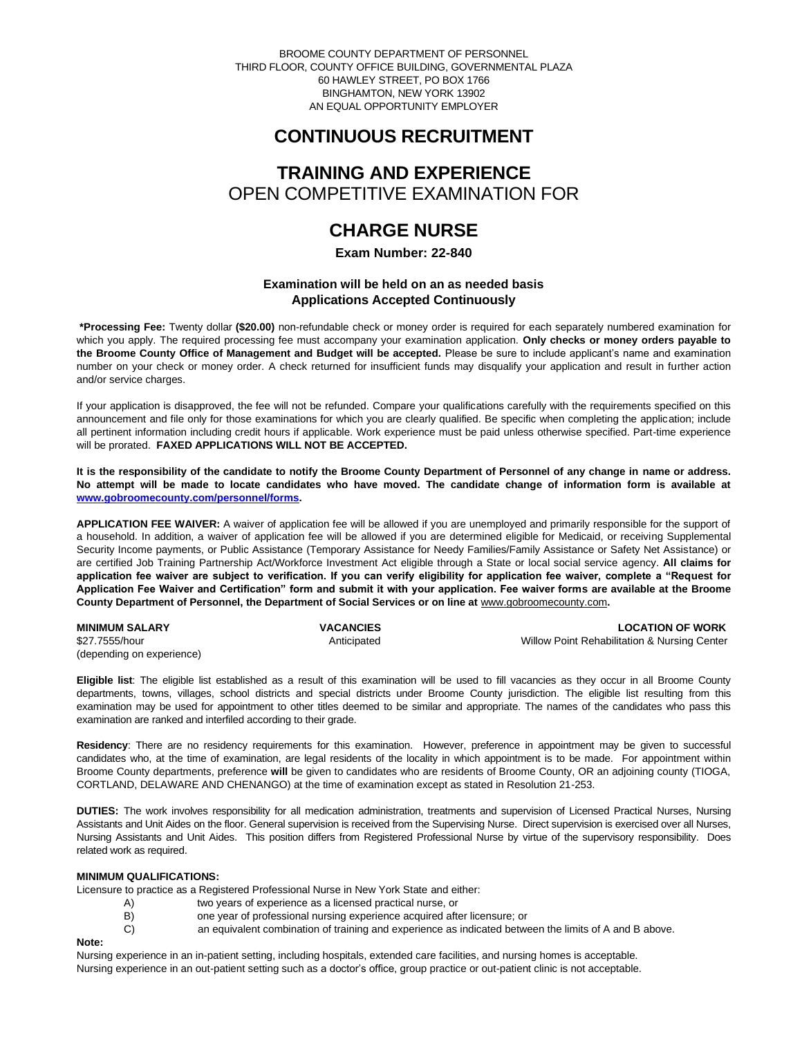BROOME COUNTY DEPARTMENT OF PERSONNEL THIRD FLOOR, COUNTY OFFICE BUILDING, GOVERNMENTAL PLAZA 60 HAWLEY STREET, PO BOX 1766 BINGHAMTON, NEW YORK 13902 AN EQUAL OPPORTUNITY EMPLOYER

# **CONTINUOUS RECRUITMENT**

# **TRAINING AND EXPERIENCE** OPEN COMPETITIVE EXAMINATION FOR

# **CHARGE NURSE**

**Exam Number: 22-840**

# **Examination will be held on an as needed basis Applications Accepted Continuously**

**\*Processing Fee:** Twenty dollar **(\$20.00)** non-refundable check or money order is required for each separately numbered examination for which you apply. The required processing fee must accompany your examination application. **Only checks or money orders payable to the Broome County Office of Management and Budget will be accepted.** Please be sure to include applicant's name and examination number on your check or money order. A check returned for insufficient funds may disqualify your application and result in further action and/or service charges.

If your application is disapproved, the fee will not be refunded. Compare your qualifications carefully with the requirements specified on this announcement and file only for those examinations for which you are clearly qualified. Be specific when completing the application; include all pertinent information including credit hours if applicable. Work experience must be paid unless otherwise specified. Part-time experience will be prorated. **FAXED APPLICATIONS WILL NOT BE ACCEPTED.** 

**It is the responsibility of the candidate to notify the Broome County Department of Personnel of any change in name or address. No attempt will be made to locate candidates who have moved. The candidate change of information form is available at [www.gobroomecounty.com/personnel/forms.](http://www.gobroomecounty.com/personnel/forms)** 

**APPLICATION FEE WAIVER:** A waiver of application fee will be allowed if you are unemployed and primarily responsible for the support of a household. In addition, a waiver of application fee will be allowed if you are determined eligible for Medicaid, or receiving Supplemental Security Income payments, or Public Assistance (Temporary Assistance for Needy Families/Family Assistance or Safety Net Assistance) or are certified Job Training Partnership Act/Workforce Investment Act eligible through a State or local social service agency. **All claims for application fee waiver are subject to verification. If you can verify eligibility for application fee waiver, complete a "Request for Application Fee Waiver and Certification" form and submit it with your application. Fee waiver forms are available at the Broome**  County Department of Personnel, the Department of Social Services or on line at **www.gobroomecounty.com.** 

| <b>MINIMUM SALARY</b>     | <b>VACANCIES</b> | <b>LOCATION OF WORK</b>                      |
|---------------------------|------------------|----------------------------------------------|
| \$27.7555/hour            | Anticipated      | Willow Point Rehabilitation & Nursing Center |
| (depending on experience) |                  |                                              |

**Eligible list**: The eligible list established as a result of this examination will be used to fill vacancies as they occur in all Broome County departments, towns, villages, school districts and special districts under Broome County jurisdiction. The eligible list resulting from this examination may be used for appointment to other titles deemed to be similar and appropriate. The names of the candidates who pass this examination are ranked and interfiled according to their grade.

**Residency**: There are no residency requirements for this examination. However, preference in appointment may be given to successful candidates who, at the time of examination, are legal residents of the locality in which appointment is to be made. For appointment within Broome County departments, preference **will** be given to candidates who are residents of Broome County, OR an adjoining county (TIOGA, CORTLAND, DELAWARE AND CHENANGO) at the time of examination except as stated in Resolution 21-253.

**DUTIES:** The work involves responsibility for all medication administration, treatments and supervision of Licensed Practical Nurses, Nursing Assistants and Unit Aides on the floor. General supervision is received from the Supervising Nurse. Direct supervision is exercised over all Nurses, Nursing Assistants and Unit Aides. This position differs from Registered Professional Nurse by virtue of the supervisory responsibility. Does related work as required.

## **MINIMUM QUALIFICATIONS:**

Licensure to practice as a Registered Professional Nurse in New York State and either:

- A) two years of experience as a licensed practical nurse, or
	- B) one year of professional nursing experience acquired after licensure; or
- C) an equivalent combination of training and experience as indicated between the limits of A and B above.

### **Note:**

Nursing experience in an in-patient setting, including hospitals, extended care facilities, and nursing homes is acceptable. Nursing experience in an out-patient setting such as a doctor's office, group practice or out-patient clinic is not acceptable.